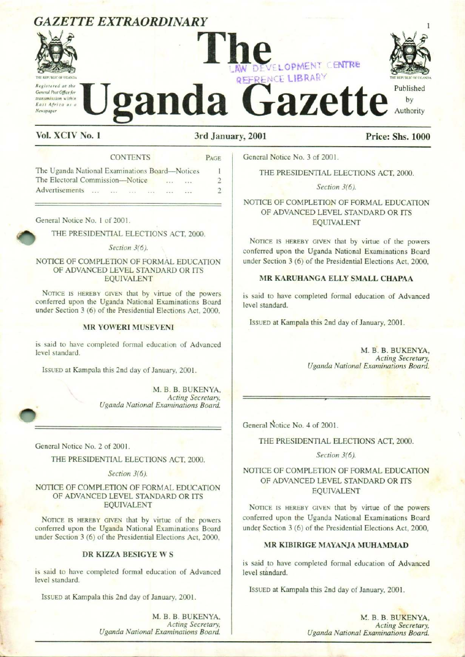# GAZETTE EXTRAORDINARY



# The REFRENCE LIBRAS Contract Articles of the **U**ganda Gazette by LOPMENT CENTRE THE REPUBLIC OF UGANDA GAZETTE EXTRAORDINARY INC. ONE CENTRE AND DEVELOPMENT CENTRE GAZETTE EXTRAORDINARY<br>
TILE CARRENT CENTRE Published GAZETTE EXTRAORDINARY<br>
SALETTE EXTRAORDINARY<br>
Service d at the Contract of the Contract of the Contract of the Contract of the Contract of the Contract of the Contract of the Contract of the Contract of the Electoral Commi GAZETTE EXTRAORDINARY<br>
A CONTENTS<br>
Contracted on the Content of the Content of the Content of the Content of the Content of the Content of the Content of the Content of the Content of the Electron Content of the Electron C **EXERCISE AND SERVE CONFIDENT CENTRE**<br>
FERENCE LIBRARY<br>
(2001 Price: Shs. 1000<br>
General Notice No. 3 of 2001.<br>
THE PRESIDENTIAL ELECTIONS ACT, 2000.<br>
Section 3(6).<br>
NOTICE OF COMPLETION OF FORMAL EDUCATION<br>
OF ADVANCED LEV V DEVELOPMENT CENTRE<br>
FERENCE LIBRARY<br>
2001<br>
Coneral Notice No. 3 of 2001.<br>
THE PRESIDENTIAL ELECTIONS ACT, 2000.<br>
Section 3(6).<br>
NOTICE OF COMPLETION OF FORMAL EDUCATION<br>
OF ADVANCED LEVINARD OR ITS<br>
EQUIVALENT<br>
NOTICE IS **CALIFTIC EXTRAORDINARY**<br>
VOLUME PRESERVANCE DENTRE CONTENTS CONTENTS (SOME AND DEVICE LEBRAFY CONTRE CONTENTS CONTENTS (SOME AND DEVICE LEBRAFY CONTENTS (SOME AND DEVICE CONTENTS) THE CONTENTS (SOME CONTENTS) THE CONTENT



# Vol. XCIV No. 1 3rd January, 2001 Price: Shs. 1000

|  | <b>CONTENTS</b> |  |  |  |
|--|-----------------|--|--|--|
|  |                 |  |  |  |

| Newspaper<br>Vol. XCIV No. 1<br>3rd January, 2001                                                                                                                                                                              | ganda Gazet                                                                                                                                                                           |
|--------------------------------------------------------------------------------------------------------------------------------------------------------------------------------------------------------------------------------|---------------------------------------------------------------------------------------------------------------------------------------------------------------------------------------|
| <b>CONTENTS</b><br>PAGE<br>The Uganda National Examinations Board-Notices<br>1<br>The Electoral Commission-Notice<br>2<br>Advertisements<br>$\overline{\phantom{a}}$<br><b>Sales</b>                                           | General Notice No. 3 of 2001.<br>THE PRESIDENTIAL ELECT<br>Section 3(6).                                                                                                              |
| General Notice No. 1 of 2001.<br>THE PRESIDENTIAL ELECTIONS ACT. 2000.<br>Section 3(6).<br>NOTICE OF COMPLETION OF FORMAL EDUCATION<br>OF ADVANCED LEVEL STANDARD OR ITS                                                       | NOTICE OF COMPLETION OF F<br>OF ADVANCED LEVEL STA<br><b>EQUIVALEN</b><br>NOTICE IS HEREBY GIVEN that by<br>conferred upon the Uganda Nation<br>under Section 3 (6) of the Presidenti |
| <b>EQUIVALENT</b><br>NOTICE IS HEREBY GIVEN that by virtue of the powers<br>conferred upon the Uganda National Examinations Board<br>under Section 3 (6) of the Presidential Elections Act, 2000,<br><b>MR YOWERI MUSEVENI</b> | <b>MR KARUHANGA ELLY S</b><br>is said to have completed formal<br>level standard.<br>ISSUED at Kampala this 2nd day of                                                                |
| is said to have completed formal education of Advanced<br>level standard.<br>ISSUED at Kampala this 2nd day of January, 2001.<br>M. B. B. BUKENYA,<br>Acting Secretary,<br>Uganda National Examinations Board.                 | <b>Uganda Nation</b>                                                                                                                                                                  |
|                                                                                                                                                                                                                                | General Notice No. 4 of 2001.                                                                                                                                                         |

# NOTICE OF COMPLETION OF FORMAL EDUCATION OF ADVANCED LEVEL STANDARD OR ITS EQUIVALENT

# MR YOWERI MUSEVENI

General Notice No. 2 of 2001.

THE PRESIDENTIAL ELECTIONS ACT, 2000.

Section 3(6).

NOTICE OF COMPLETION OF FORMAL EDUCATION OF ADVANCED LEVEL STANDARD OR ITS EQUIVALENT

NOTICE IS HEREBY GIVEN that by virtue of the powers conferred upon the Uganda National Examinations Board under Section 3 (6) of the Presidential Elections Act, 2000,

# DR KIZZA BESIGYE W§

Is said to have<br>level standard<br>Issued at K is said to have completed formal education of Advanced level standard.

IssUED at Kampala this 2nd day of January, 2001.

THE PRESIDENTIAL ELECTIONS ACT, 2000.

# NOTICE OF COMPLETION OF FORMAL EDUCATION OF ADVANCED LEVEL STANDARD OR ITS EQUIVALENT

NOTICE IS HEREBY GIVEN that by virtue of the powers conferred upon the Uganda National Examinations Board under Section 3 (6) of the Presidential Elections Act, 2000,

# MR KARUHANGA ELLY SMALL CHAPAA

is said to have completed formal education of Advanced level standard.

IssuED at Kampala this 2nd day of January, 2001.

M. B. B. BUKENYA, Acting Secretary, Uganda National Examinations Board.

THE PRESIDENTIAL ELECTIONS ACT, 2000.

Section 3(6).

# NOTICE OF COMPLETION OF FORMAL EDUCATION OF ADVANCED LEVEL STANDARD OR ITS EQUIVALENT

NOTICE IS HEREBY GIVEN that by virtue of the powers conferred upon the Uganda National Examinations Board under Section 3 (6) of the Presidential Elections Act, 2000,

# MR KIBIRIGE MAYANJA MUHAMMAD

is said to have completed formal education of Advanced level standard.

ISSUED at Kampala this 2nd day of January, 2001.

M. B. B. BUKENYA, Acting Secretary, Uganda National Examinations Board.

2001.<br>BUKENYA,<br>ing Secretary,<br>ations Board. M. B. B. BUKENYA, Acting Secretary, Uganda National Examinations Board.